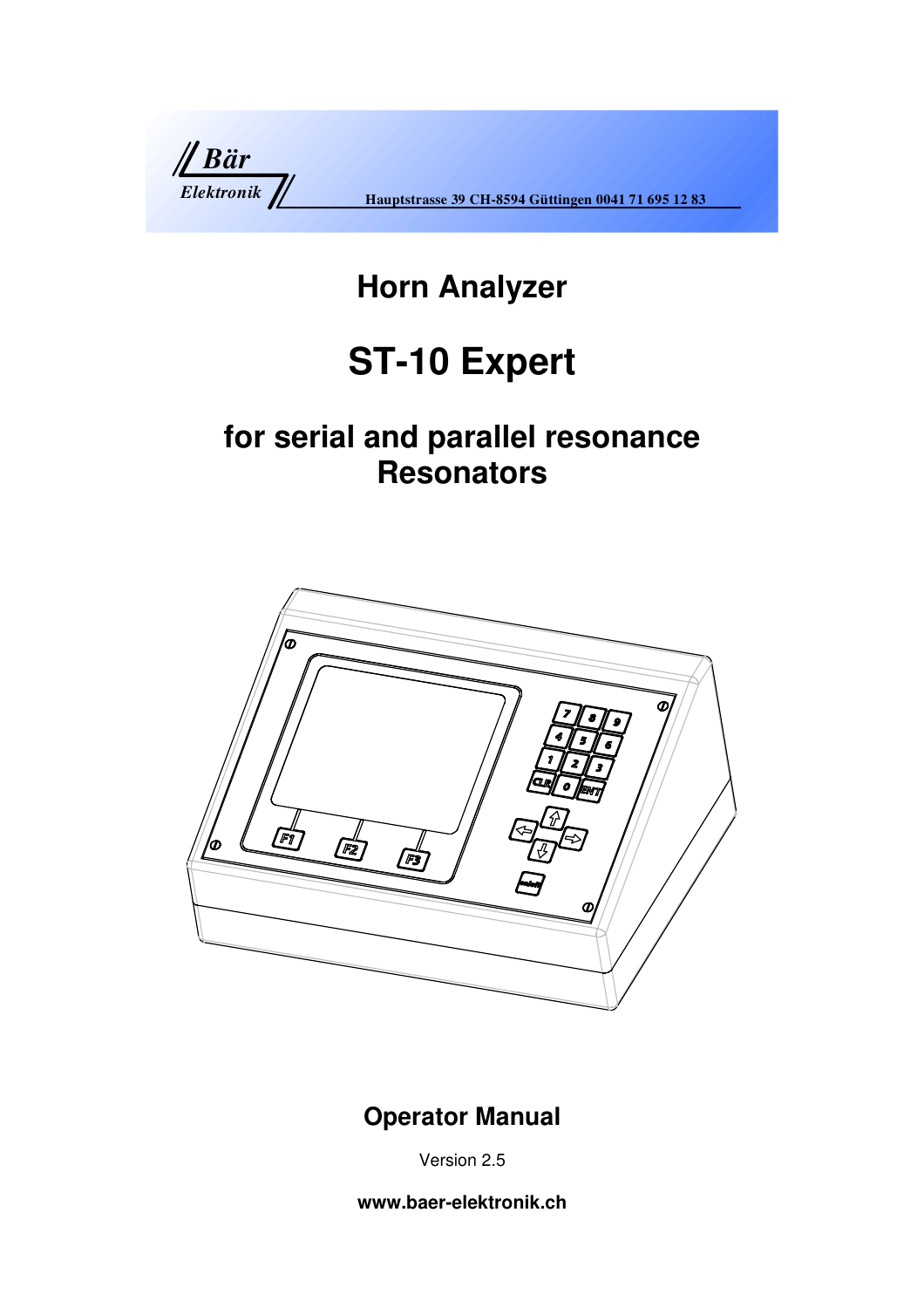

# **Horn Analyzer**

# **ST-10 Expert**

# **for serial and parallel resonance Resonators**



## **Operator Manual**

Version 2.5

**www.baer-elektronik.ch**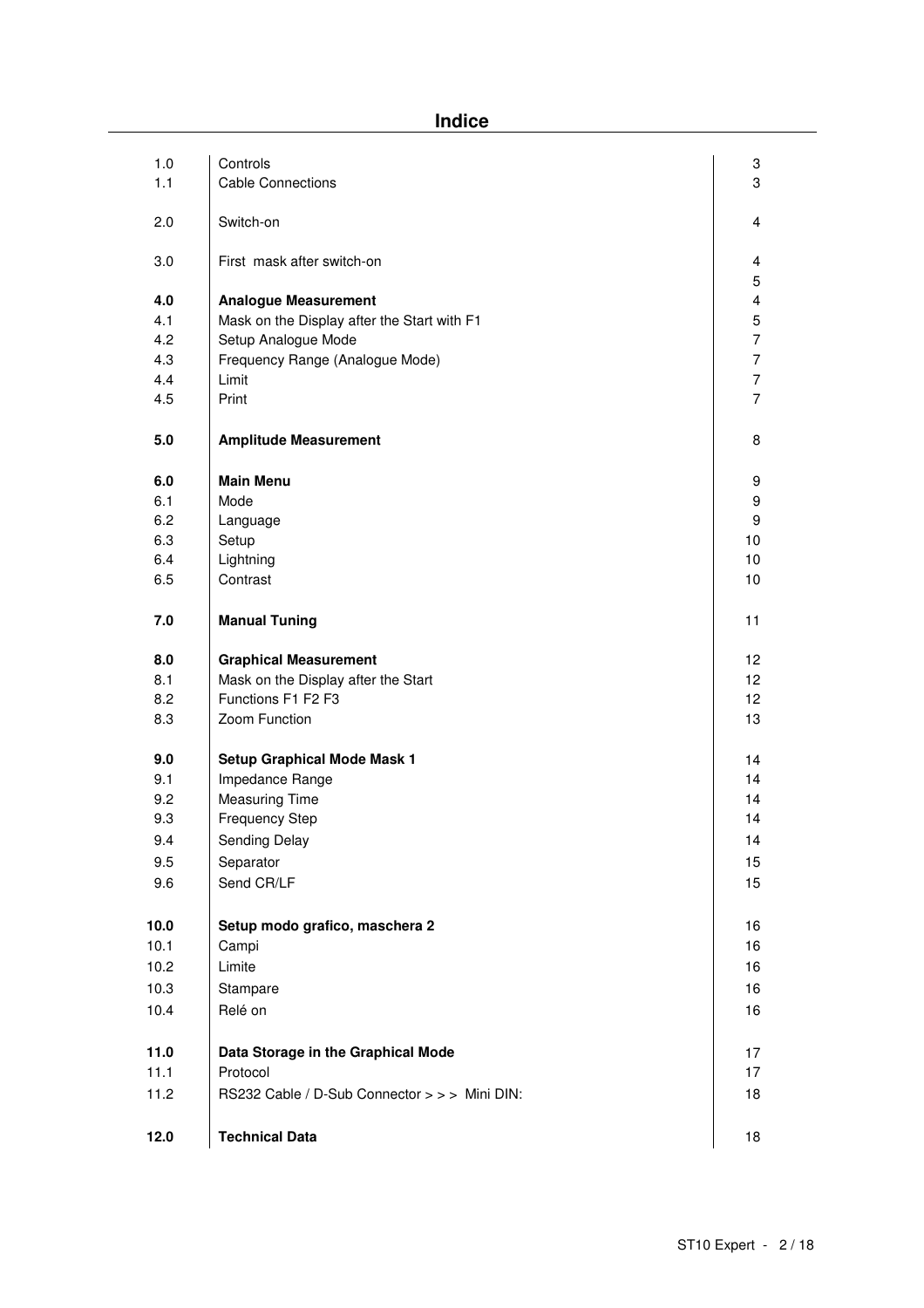**Indice** 

| 1.0  | Controls                                      | 3                |
|------|-----------------------------------------------|------------------|
| 1.1  | <b>Cable Connections</b>                      | 3                |
| 2.0  | Switch-on                                     | 4                |
| 3.0  | First mask after switch-on                    | 4<br>5           |
| 4.0  | <b>Analogue Measurement</b>                   | 4                |
| 4.1  | Mask on the Display after the Start with F1   | 5                |
| 4.2  | Setup Analogue Mode                           | $\boldsymbol{7}$ |
| 4.3  | Frequency Range (Analogue Mode)               | $\boldsymbol{7}$ |
| 4.4  | Limit                                         | $\overline{7}$   |
| 4.5  | Print                                         | $\overline{7}$   |
| 5.0  | <b>Amplitude Measurement</b>                  | 8                |
| 6.0  | <b>Main Menu</b>                              | 9                |
| 6.1  | Mode                                          | 9                |
| 6.2  | Language                                      | 9                |
| 6.3  | Setup                                         | 10               |
| 6.4  | Lightning                                     | 10               |
| 6.5  | Contrast                                      | 10               |
| 7.0  | <b>Manual Tuning</b>                          | 11               |
| 8.0  | <b>Graphical Measurement</b>                  | 12               |
| 8.1  | Mask on the Display after the Start           | 12 <sub>2</sub>  |
| 8.2  | Functions F1 F2 F3                            | 12 <sub>2</sub>  |
| 8.3  | Zoom Function                                 | 13               |
| 9.0  | <b>Setup Graphical Mode Mask 1</b>            | 14               |
| 9.1  | Impedance Range                               | 14               |
| 9.2  | <b>Measuring Time</b>                         | 14               |
| 9.3  | <b>Frequency Step</b>                         | 14               |
| 9.4  | Sending Delay                                 | 14               |
| 9.5  | Separator                                     | 15               |
| 9.6  | Send CR/LF                                    | 15               |
| 10.0 | Setup modo grafico, maschera 2                | 16               |
| 10.1 | Campi                                         | 16               |
|      | Limite                                        |                  |
| 10.2 |                                               | 16               |
| 10.3 | Stampare                                      | 16               |
| 10.4 | Relé on                                       | 16               |
| 11.0 | Data Storage in the Graphical Mode            | 17               |
| 11.1 | Protocol                                      | 17               |
| 11.2 | RS232 Cable / D-Sub Connector > > > Mini DIN: | 18               |
| 12.0 | <b>Technical Data</b>                         | 18               |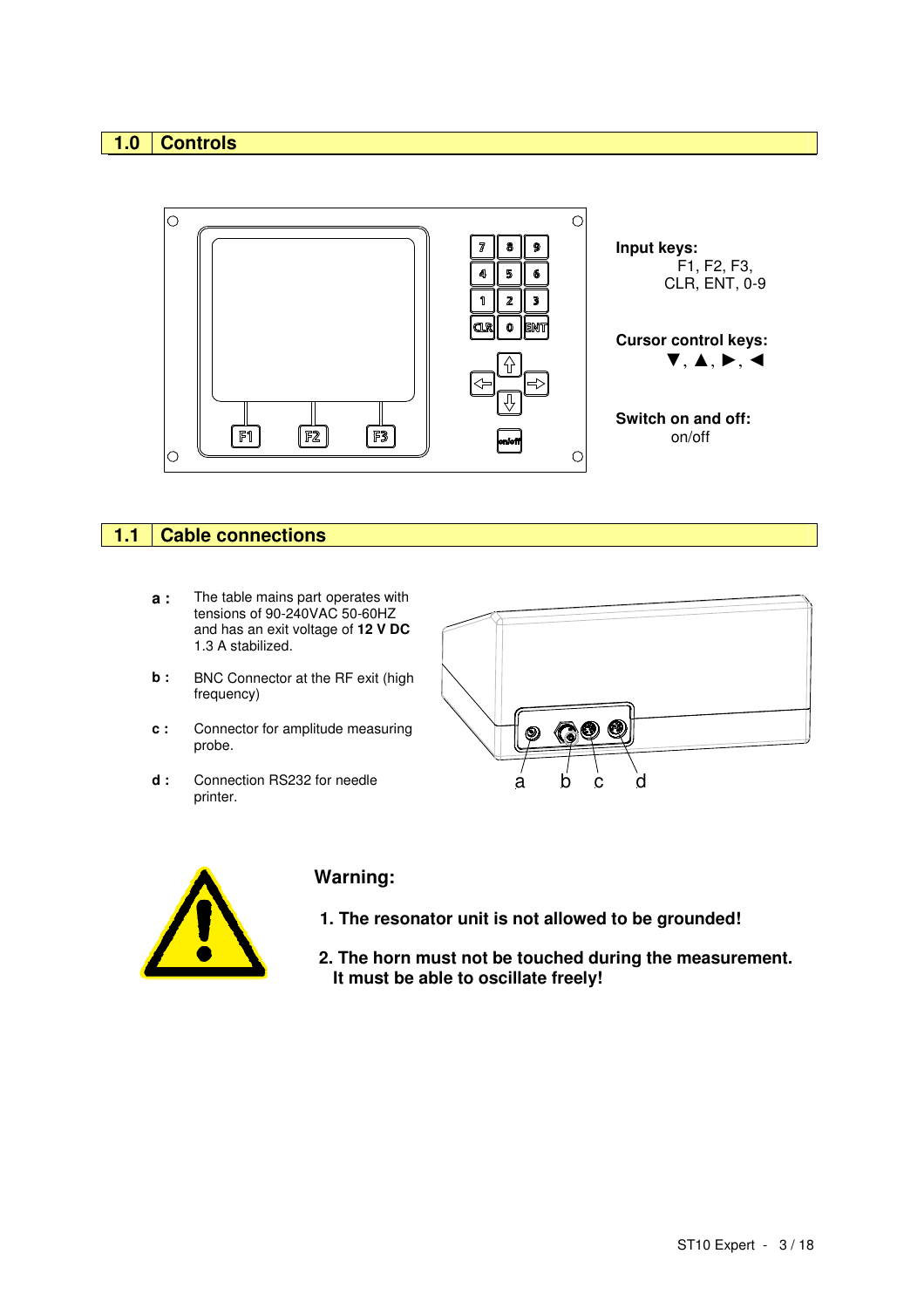## **1.0 Controls**



### **1.1 Cable connections**

- **a :** The table mains part operates with tensions of 90-240VAC 50-60HZ and has an exit voltage of **12 V DC** 1.3 A stabilized.
- **b** : BNC Connector at the RF exit (high frequency)
- **c :** Connector for amplitude measuring probe.
- **d :** Connection RS232 for needle printer.





## **Warning:**

- **1. The resonator unit is not allowed to be grounded!**
- **2. The horn must not be touched during the measurement. It must be able to oscillate freely!**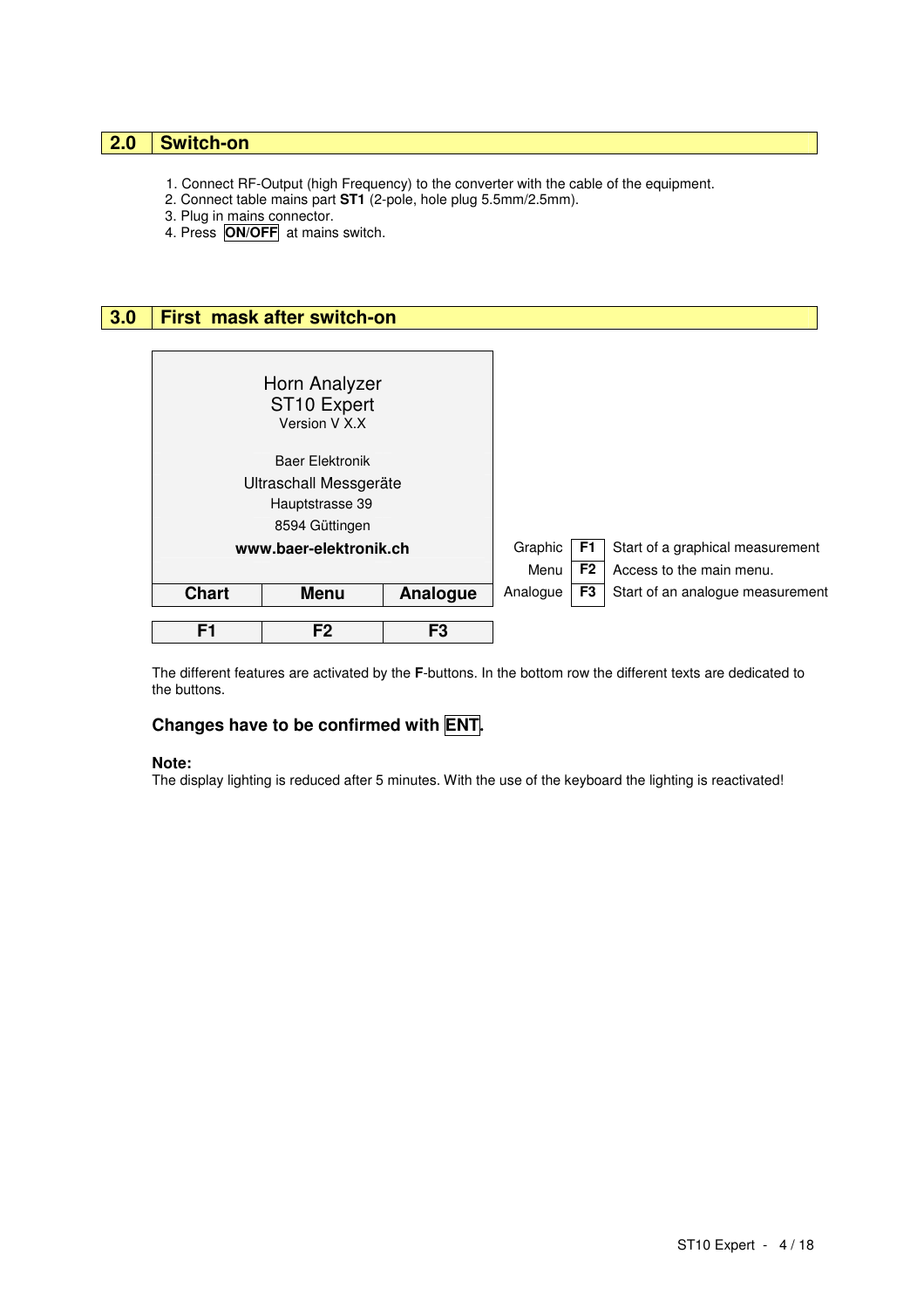## **2.0 Switch-on**

- 1. Connect RF-Output (high Frequency) to the converter with the cable of the equipment.
- 2. Connect table mains part **ST1** (2-pole, hole plug 5.5mm/2.5mm).
- 3. Plug in mains connector.
- 4. Press **ON/OFF** at mains switch.

| 3.0 |                                                  | First mask after switch-on                                |                |          |                |                                  |
|-----|--------------------------------------------------|-----------------------------------------------------------|----------------|----------|----------------|----------------------------------|
|     |                                                  |                                                           |                |          |                |                                  |
|     |                                                  | Horn Analyzer<br>ST <sub>10</sub> Expert<br>Version V X.X |                |          |                |                                  |
|     | <b>Baer Elektronik</b><br>Ultraschall Messgeräte |                                                           |                |          |                |                                  |
|     |                                                  | Hauptstrasse 39                                           |                |          |                |                                  |
|     |                                                  | 8594 Güttingen                                            |                |          |                |                                  |
|     |                                                  | www.baer-elektronik.ch                                    |                | Graphic  | F1.            | Start of a graphical measurement |
|     |                                                  |                                                           |                | Menu     | F <sub>2</sub> | Access to the main menu.         |
|     | <b>Chart</b>                                     | <b>Menu</b>                                               | Analogue       | Analogue | F3             | Start of an analogue measurement |
|     | F <sub>1</sub>                                   | F <sub>2</sub>                                            | F <sub>3</sub> |          |                |                                  |

The different features are activated by the **F**-buttons. In the bottom row the different texts are dedicated to the buttons.

## **Changes have to be confirmed with ENT.**

#### **Note:**

The display lighting is reduced after 5 minutes. With the use of the keyboard the lighting is reactivated!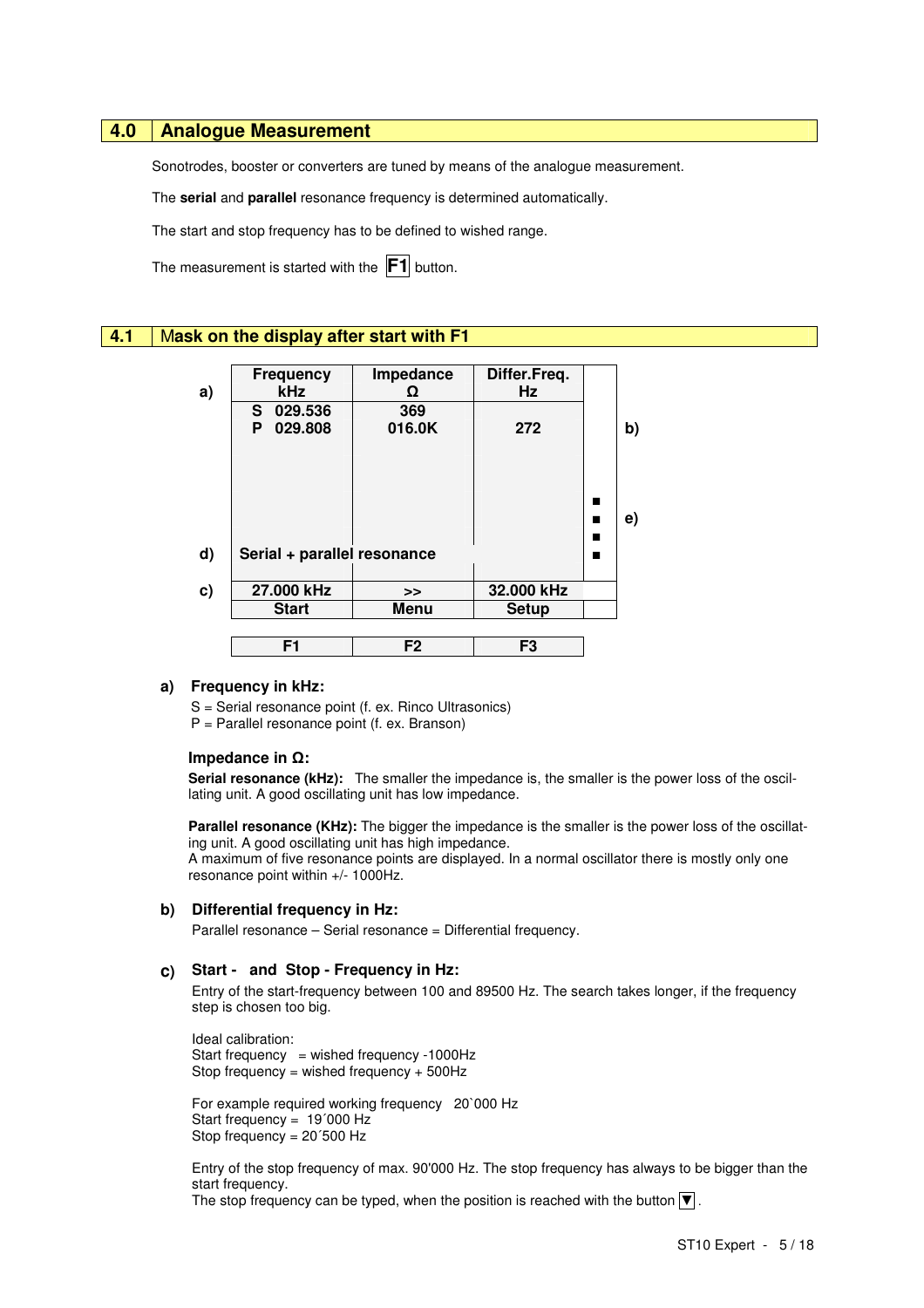## **4.0 Analogue Measurement**

Sonotrodes, booster or converters are tuned by means of the analogue measurement.

The **serial** and **parallel** resonance frequency is determined automatically.

The start and stop frequency has to be defined to wished range.

The measurement is started with the **F1** button.

### **4.1** M**ask on the display after start with F1**

|    | <b>Frequency</b>            | Impedance      | Differ.Freq.   |   |    |
|----|-----------------------------|----------------|----------------|---|----|
| a) | <b>kHz</b>                  | Ω              | Hz             |   |    |
|    | 029.536<br>S.               | 369            |                |   |    |
|    | 029.808<br>P                | 016.0K         | 272            |   | b) |
|    |                             |                |                |   |    |
|    |                             |                |                |   |    |
|    |                             |                |                |   |    |
|    |                             |                |                | ■ |    |
|    |                             |                |                |   | e) |
|    |                             |                |                | ■ |    |
| d) | Serial + parallel resonance |                |                | ■ |    |
|    |                             |                |                |   |    |
| c) | 27.000 kHz                  | >>             | 32.000 kHz     |   |    |
|    | <b>Start</b>                | <b>Menu</b>    | <b>Setup</b>   |   |    |
|    |                             |                |                |   |    |
|    | F <sub>1</sub>              | F <sub>2</sub> | F <sub>3</sub> |   |    |
|    |                             |                |                |   |    |

#### **a) Frequency in kHz:**

S = Serial resonance point (f. ex. Rinco Ultrasonics)

P = Parallel resonance point (f. ex. Branson)

#### **Impedance in** Ω**:**

Serial resonance (kHz): The smaller the impedance is, the smaller is the power loss of the oscillating unit. A good oscillating unit has low impedance.

**Parallel resonance (KHz):** The bigger the impedance is the smaller is the power loss of the oscillating unit. A good oscillating unit has high impedance.

A maximum of five resonance points are displayed. In a normal oscillator there is mostly only one resonance point within +/- 1000Hz.

#### **b) Differential frequency in Hz:**

Parallel resonance – Serial resonance = Differential frequency.

#### **c) Start - and Stop - Frequency in Hz:**

Entry of the start-frequency between 100 and 89500 Hz. The search takes longer, if the frequency step is chosen too big.

Ideal calibration: Start frequency = wished frequency -1000Hz Stop frequency = wished frequency + 500Hz

For example required working frequency 20`000 Hz Start frequency = 19´000 Hz Stop frequency = 20´500 Hz

Entry of the stop frequency of max. 90'000 Hz. The stop frequency has always to be bigger than the start frequency.

The stop frequency can be typed, when the position is reached with the button  $\nabla$ .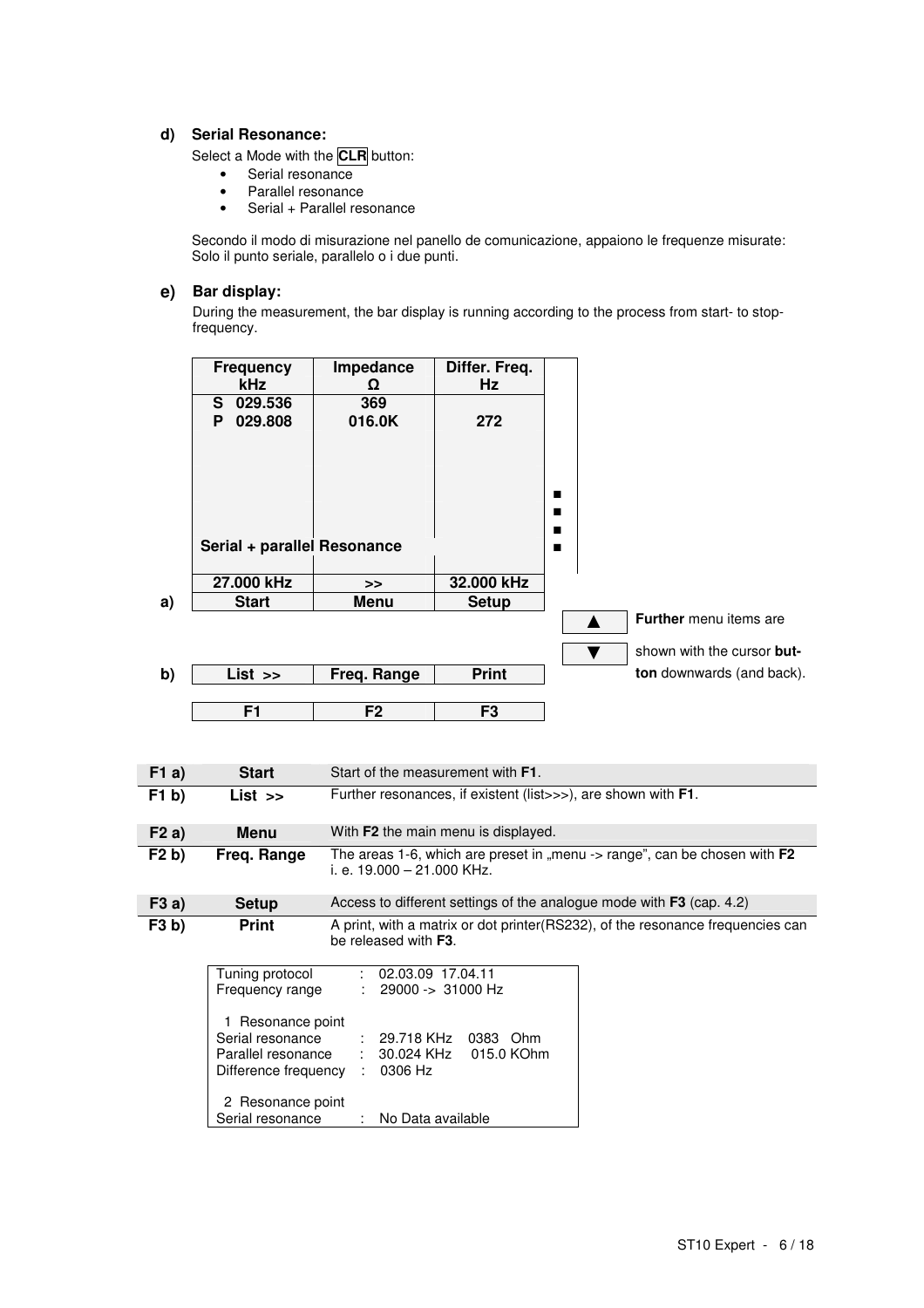#### **d) Serial Resonance:**

Select a Mode with the **CLR** button:

- Serial resonance
- Parallel resonance
- Serial + Parallel resonance

Secondo il modo di misurazione nel panello de comunicazione, appaiono le frequenze misurate: Solo il punto seriale, parallelo o i due punti.

## **e) Bar display:**

During the measurement, the bar display is running according to the process from start- to stopfrequency.

|       | <b>Frequency</b><br>kHz                                                             | Impedance<br>Ω                      | Differ. Freq.<br>Hz                       |                  |                                                                                |
|-------|-------------------------------------------------------------------------------------|-------------------------------------|-------------------------------------------|------------------|--------------------------------------------------------------------------------|
|       | 029.536<br>S.<br>029.808<br>P                                                       | 369<br>016.0K                       | 272                                       |                  |                                                                                |
|       | Serial + parallel Resonance                                                         |                                     |                                           | ■<br>п<br>■<br>п |                                                                                |
|       | 27.000 kHz<br><b>Start</b>                                                          | >>                                  | 32.000 kHz                                |                  |                                                                                |
| a)    |                                                                                     | <b>Menu</b>                         | <b>Setup</b>                              |                  | <b>Further</b> menu items are<br>shown with the cursor but-<br>v               |
| b)    | $List$ >>                                                                           | Freq. Range                         | <b>Print</b>                              |                  | ton downwards (and back).                                                      |
|       |                                                                                     |                                     |                                           |                  |                                                                                |
|       | $\overline{F1}$                                                                     | F2                                  | F <sub>3</sub>                            |                  |                                                                                |
| F1a)  | <b>Start</b>                                                                        |                                     | Start of the measurement with <b>F1</b> . |                  |                                                                                |
| F1 b) | $List \rightarrow$                                                                  |                                     |                                           |                  | Further resonances, if existent (list>>>), are shown with F1.                  |
| F2a)  | <b>Menu</b>                                                                         |                                     | With F2 the main menu is displayed.       |                  |                                                                                |
| F2 b) | Freq. Range                                                                         | i. e. 19.000 - 21.000 KHz.          |                                           |                  | The areas 1-6, which are preset in "menu -> range", can be chosen with F2      |
| F3a)  | <b>Setup</b>                                                                        |                                     |                                           |                  | Access to different settings of the analogue mode with F3 (cap. 4.2)           |
| F3 b) | <b>Print</b>                                                                        | be released with F3.                |                                           |                  | A print, with a matrix or dot printer(RS232), of the resonance frequencies can |
|       | Tuning protocol<br>Frequency range                                                  |                                     | 02.03.09 17.04.11<br>29000 -> 31000 Hz    |                  |                                                                                |
|       | 1 Resonance point<br>Serial resonance<br>Parallel resonance<br>Difference frequency | 29.718 KHz<br>30.024 KHz<br>0306 Hz | 0383 Ohm<br>015.0 KOhm                    |                  |                                                                                |
|       | 2 Resonance point<br>Serial resonance                                               |                                     | No Data available                         |                  |                                                                                |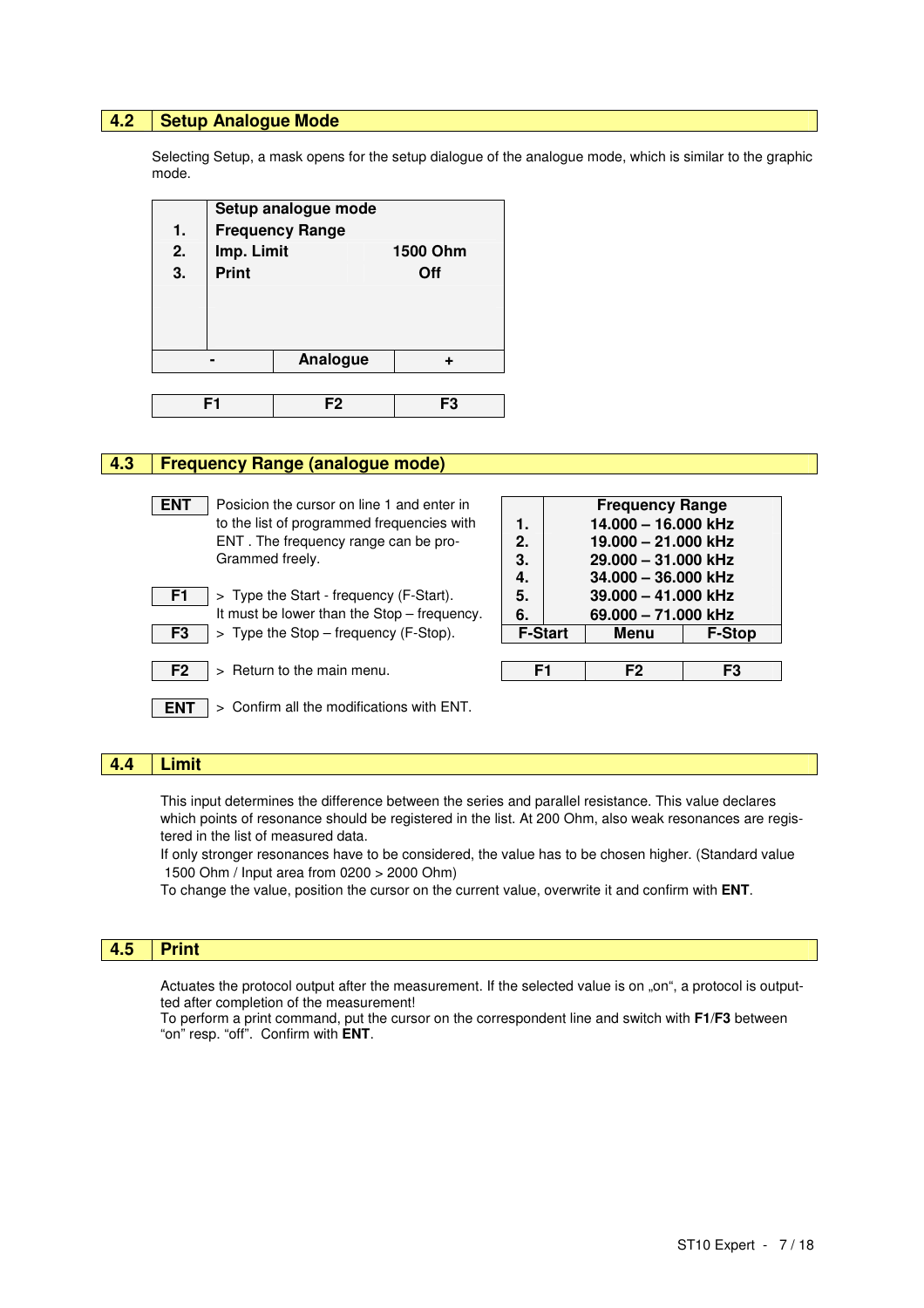#### **4.2 Setup Analogue Mode**

Selecting Setup, a mask opens for the setup dialogue of the analogue mode, which is similar to the graphic mode.



#### **4.3 Frequency Range (analogue mode)**

| <b>ENT</b> | Posicion the cursor on line 1 and enter in |    | <b>Frequency Range</b> |
|------------|--------------------------------------------|----|------------------------|
|            | to the list of programmed frequencies with | 1. | 14.000 - 16.000 kHz    |
|            | ENT. The frequency range can be pro-       | 2. | 19.000 - 21.000 kHz    |
|            | Grammed freely.                            | 3. | 29.000 - 31.000 kHz    |
|            |                                            | 4. | 34.000 - 36.000 kHz    |
| F1.        | > Type the Start - frequency (F-Start).    | 5. | 39.000 - 41.000 kHz    |
|            | It must be lower than the Cten froguenou   |    | $0.000$ $74.000$ $LIL$ |

|    | It must be lower than the $SOP - HeQU$ enc    |
|----|-----------------------------------------------|
| -3 | $\vert$ > Type the Stop – frequency (F-Stop). |

**ENT** > Confirm all the modifications with ENT.

**F2** > Return to the main menu. **F1 F2 F3** 

| to the list of programmed frequencies with                | 1.             | 14.000 - 16.000 kHz |               |
|-----------------------------------------------------------|----------------|---------------------|---------------|
| ENT. The frequency range can be pro-                      | 2.             | 19.000 - 21.000 kHz |               |
| Grammed freely.                                           | 3.             | 29.000 - 31.000 kHz |               |
|                                                           | 4.             | 34.000 - 36.000 kHz |               |
| > Type the Start - frequency (F-Start).<br>F1             | 5.             | 39.000 - 41.000 kHz |               |
| It must be lower than the Stop - frequency.               | 6.             | 69.000 - 71.000 kHz |               |
| $>$ Type the Stop – frequency (F-Stop).<br>F <sub>3</sub> | <b>F-Start</b> | Menu                | <b>F-Stop</b> |
|                                                           |                |                     |               |
| Detire to the media means                                 |                | г∩                  | г٨            |

## **4.4 Limit**

This input determines the difference between the series and parallel resistance. This value declares which points of resonance should be registered in the list. At 200 Ohm, also weak resonances are registered in the list of measured data.

If only stronger resonances have to be considered, the value has to be chosen higher. (Standard value 1500 Ohm / Input area from 0200 > 2000 Ohm)

To change the value, position the cursor on the current value, overwrite it and confirm with **ENT**.

#### $4.5$ **4.5 Print**

Actuates the protocol output after the measurement. If the selected value is on "on", a protocol is outputted after completion of the measurement!

To perform a print command, put the cursor on the correspondent line and switch with **F1**/**F3** between "on" resp. "off". Confirm with **ENT**.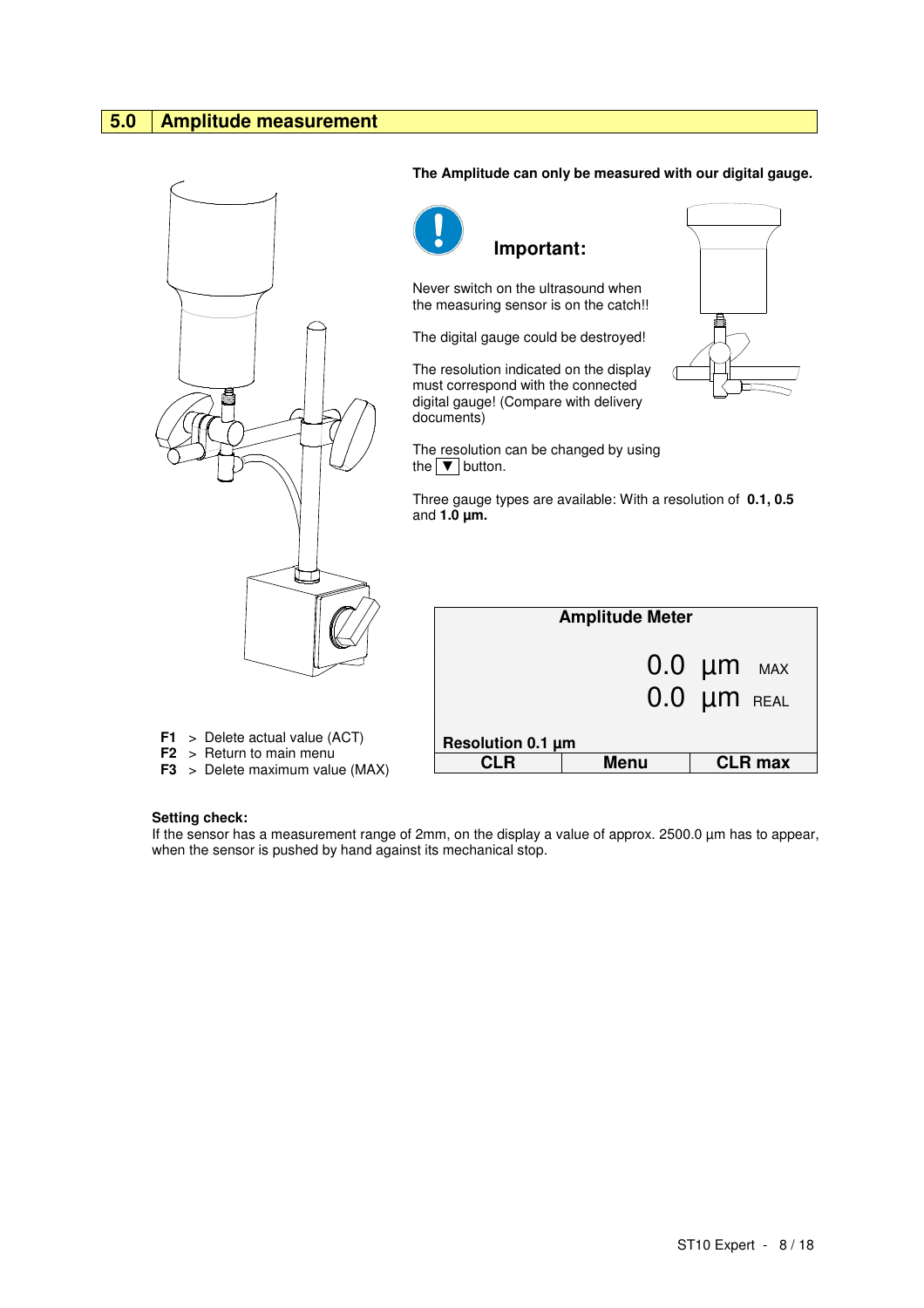## **5.0 Amplitude measurement**



#### **The Amplitude can only be measured with our digital gauge.**



 **Important:** 

Never switch on the ultrasound when the measuring sensor is on the catch!!

The digital gauge could be destroyed!

The resolution indicated on the display must correspond with the connected digital gauge! (Compare with delivery documents)

The resolution can be changed by using the  $\boxed{\blacktriangledown}$  button.



Three gauge types are available: With a resolution of **0.1, 0.5**  and **1.0 µm.**

|                                                    | <b>Amplitude Meter</b> |                                     |  |  |  |  |  |
|----------------------------------------------------|------------------------|-------------------------------------|--|--|--|--|--|
|                                                    |                        | $0.0 \mu m$ MAX<br>$0.0 \mu m$ REAL |  |  |  |  |  |
| Resolution 0.1 µm<br><b>Menu</b><br><b>CLR</b> max |                        |                                     |  |  |  |  |  |

- **F1** > Delete actual value (ACT)
- **F2** > Return to main menu
- **F3** > Delete maximum value (MAX)

#### **Setting check:**

If the sensor has a measurement range of 2mm, on the display a value of approx. 2500.0 µm has to appear, when the sensor is pushed by hand against its mechanical stop.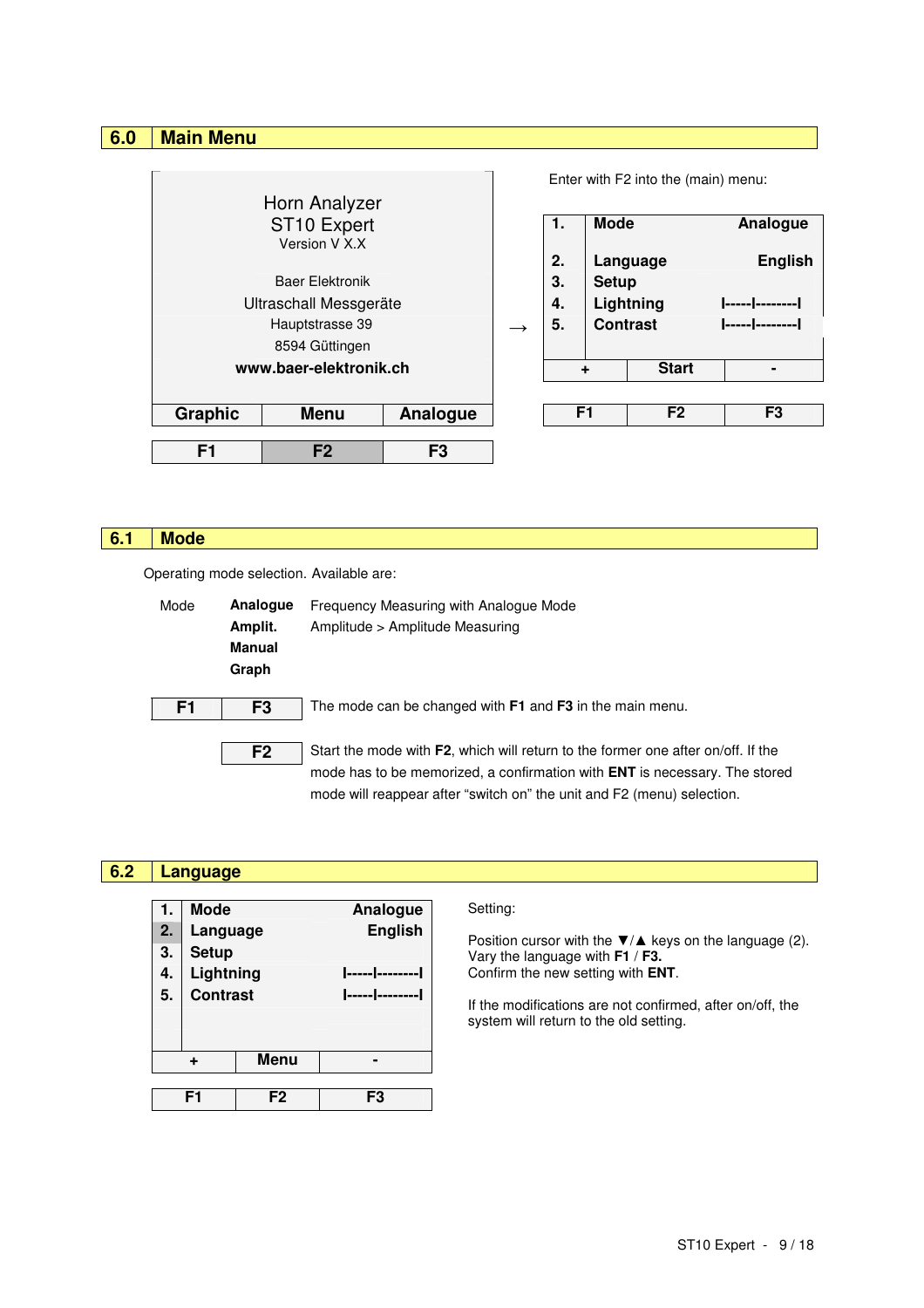## **6.0 Main Menu**

|                        |                        |                |  |    |                | Enter with F2 into the (main) menu: |                |
|------------------------|------------------------|----------------|--|----|----------------|-------------------------------------|----------------|
|                        | Horn Analyzer          |                |  |    |                |                                     |                |
| ST10 Expert            |                        |                |  | 1. | <b>Mode</b>    |                                     | Analogue       |
|                        | Version V X.X          |                |  | 2. |                | Language                            | <b>English</b> |
|                        | <b>Baer Elektronik</b> |                |  | 3. | <b>Setup</b>   |                                     |                |
| Ultraschall Messgeräte |                        |                |  | 4. |                | Lightning                           | ----- -------- |
| Hauptstrasse 39        |                        |                |  | 5. |                | <b>Contrast</b>                     | ----- -------- |
|                        | 8594 Güttingen         |                |  |    |                |                                     |                |
|                        | www.baer-elektronik.ch |                |  |    | ÷              | <b>Start</b>                        |                |
|                        |                        |                |  |    |                |                                     |                |
| <b>Graphic</b>         | <b>Menu</b>            | Analogue       |  |    | F <sub>1</sub> | F <sub>2</sub>                      | F3             |
|                        |                        |                |  |    |                |                                     |                |
| F <sub>1</sub>         | F <sub>2</sub>         | F <sub>3</sub> |  |    |                |                                     |                |

## **6.1 Mode**

Г

Operating mode selection. Available are:

**F1 F2 F3** 

| Mode | Analogue<br>Amplit.<br>Manual<br>Graph | Frequency Measuring with Analogue Mode<br>Amplitude > Amplitude Measuring                                                                                                                                                                       |
|------|----------------------------------------|-------------------------------------------------------------------------------------------------------------------------------------------------------------------------------------------------------------------------------------------------|
| F1   | F <sub>3</sub>                         | The mode can be changed with F1 and F3 in the main menu.                                                                                                                                                                                        |
|      | F <sub>2</sub>                         | Start the mode with F2, which will return to the former one after on/off. If the<br>mode has to be memorized, a confirmation with <b>ENT</b> is necessary. The stored<br>mode will reappear after "switch on" the unit and F2 (menu) selection. |

| 6.2 |                      | Language                                                              |      |                     |                                                                                                                                                                                                                                                                     |
|-----|----------------------|-----------------------------------------------------------------------|------|---------------------|---------------------------------------------------------------------------------------------------------------------------------------------------------------------------------------------------------------------------------------------------------------------|
|     | 2.<br>3.<br>4.<br>5. | Mode<br>Language<br><b>Setup</b><br>Lightning<br><b>Contrast</b><br>÷ | Menu | Analogue<br>English | Setting:<br>Position cursor with the $\nabla/\triangle$ keys on the language (2).<br>Vary the language with $F1 / F3$ .<br>Confirm the new setting with ENT.<br>If the modifications are not confirmed, after on/off, the<br>system will return to the old setting. |
|     |                      |                                                                       |      |                     |                                                                                                                                                                                                                                                                     |

ST10 Expert - 9 / 18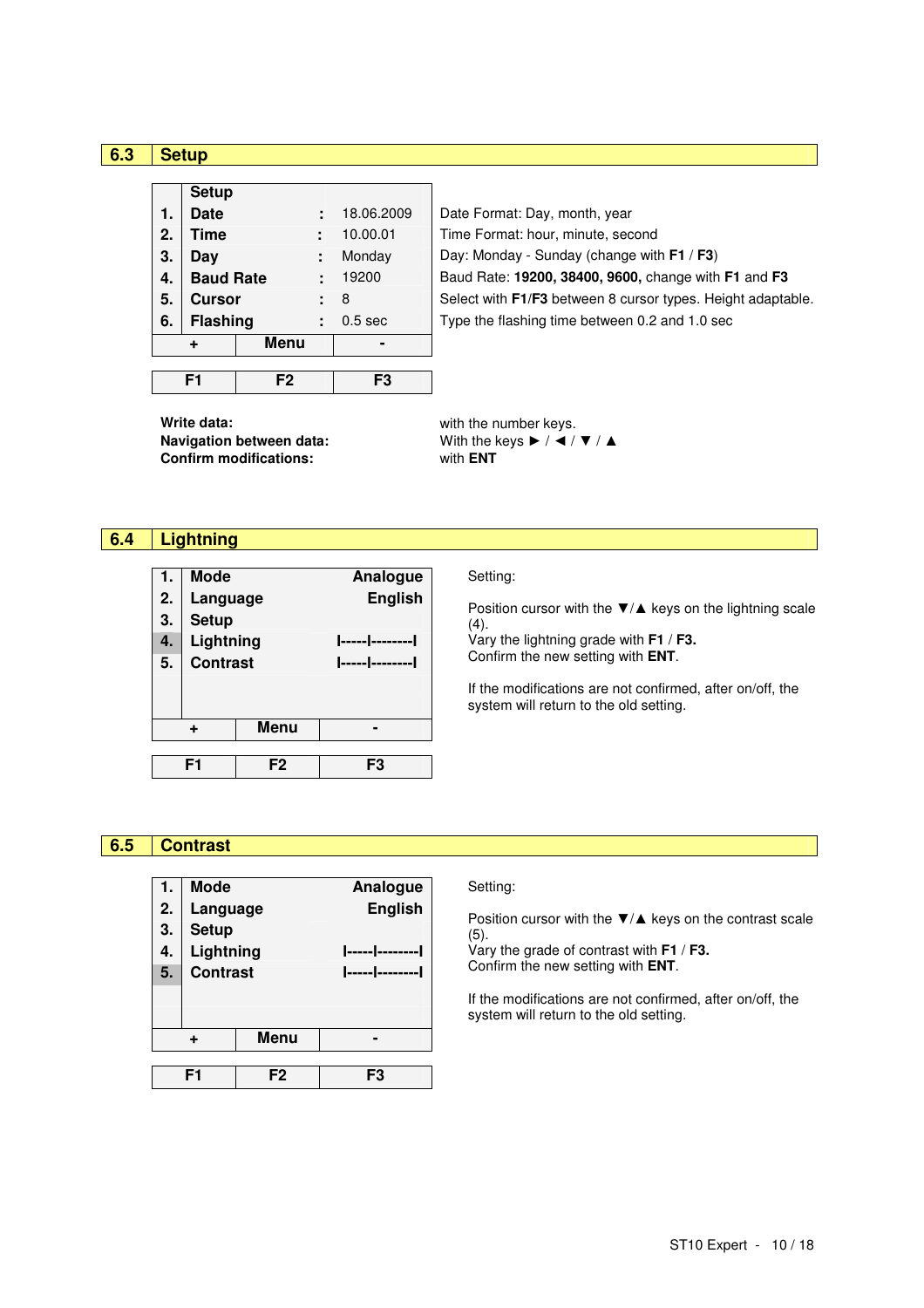#### **6.3 Setup**

|    |                  | F <sub>2</sub> | FЗ                 |
|----|------------------|----------------|--------------------|
|    | ÷                | <b>Menu</b>    |                    |
| 6. | <b>Flashing</b>  |                | 0.5 <sub>sec</sub> |
| 5. | <b>Cursor</b>    |                | 8                  |
| 4. | <b>Baud Rate</b> |                | 19200              |
| 3. | Day              |                | Monday             |
| 2. | <b>Time</b>      |                | 10.00.01           |
| 1. | <b>Date</b>      |                | 18.06.2009         |
|    | <b>Setup</b>     |                |                    |

Date Format: Day, month, year Time Format: hour, minute, second **Day: Monday - Sunday (change with F1 / F3) 4. Baud Rate :** 19200 Baud Rate: **19200, 38400, 9600,** change with **F1** and **F3** Select with F1/F3 between 8 cursor types. Height adaptable. Type the flashing time between 0.2 and 1.0 sec

**Write data: with the number keys. Navigation between data:** With the keys ► / ◀ / ▼ / ▲ **Confirm modifications:** with **ENT**

## **6.4 Lightning**

| 1.<br>2.<br>3.<br>4.<br>5. | <b>Mode</b><br>Language<br><b>Setup</b><br>Lightning<br><b>Contrast</b> |                | Analogue<br><b>English</b> | Setting:<br>Position cursor with the $\nabla/\blacktriangle$ keys on the lightning scale<br>(4).<br>Vary the lightning grade with $F1 / F3$ .<br>Confirm the new setting with ENT.<br>If the modifications are not confirmed, after on/off, the<br>system will return to the old setting. |
|----------------------------|-------------------------------------------------------------------------|----------------|----------------------------|-------------------------------------------------------------------------------------------------------------------------------------------------------------------------------------------------------------------------------------------------------------------------------------------|
|                            | ٠                                                                       | Menu           |                            |                                                                                                                                                                                                                                                                                           |
|                            | F <sub>1</sub>                                                          | F <sub>2</sub> | F3                         |                                                                                                                                                                                                                                                                                           |

## **6.5 Contrast**

| 1. | <b>Mode</b>     |                | Analogue       |  |  |
|----|-----------------|----------------|----------------|--|--|
| 2. | Language        |                | <b>English</b> |  |  |
| 3. | <b>Setup</b>    |                |                |  |  |
| 4. | Lightning       |                |                |  |  |
| 5. | <b>Contrast</b> |                | ----- -------  |  |  |
|    |                 |                |                |  |  |
|    |                 |                |                |  |  |
| ÷  |                 | <b>Menu</b>    |                |  |  |
|    |                 |                |                |  |  |
|    | F1              | F <sub>2</sub> | F3             |  |  |

#### Setting:

Position cursor with the  $\Psi/\blacktriangle$  keys on the contrast scale (5).

Vary the grade of contrast with **F1** / **F3.**  Confirm the new setting with **ENT**.

If the modifications are not confirmed, after on/off, the system will return to the old setting.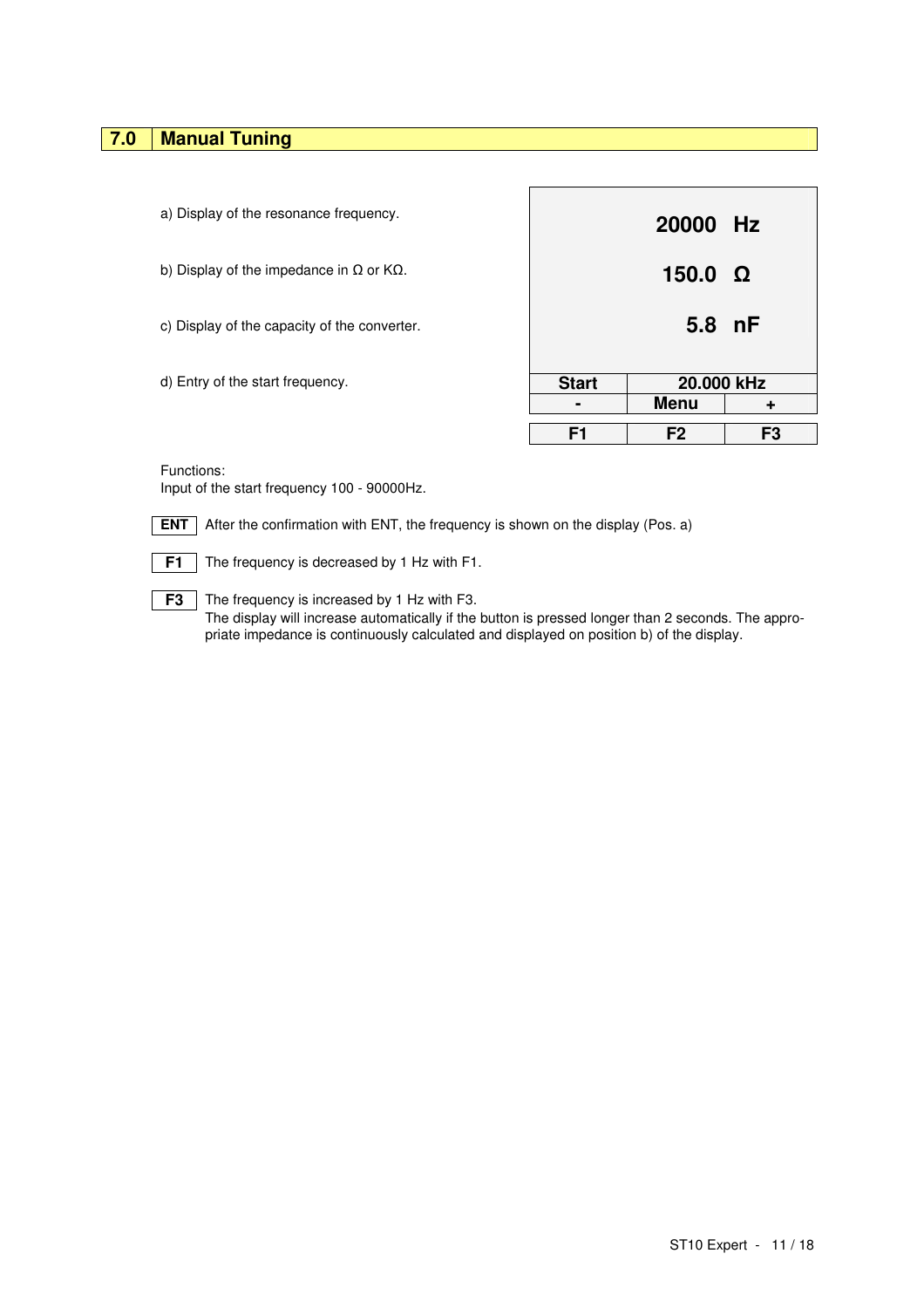## **7.0 Manual Tuning**

| a) Display of the resonance frequency.                    |                | 20000 Hz                  |                |
|-----------------------------------------------------------|----------------|---------------------------|----------------|
| b) Display of the impedance in $\Omega$ or K $\Omega$ .   |                | $150.0 \Omega$            |                |
| c) Display of the capacity of the converter.              |                | 5.8 nF                    |                |
| d) Entry of the start frequency.                          | <b>Start</b>   | 20,000 kHz<br><b>Menu</b> | ٠              |
|                                                           | F <sub>1</sub> | F <sub>2</sub>            | F <sub>3</sub> |
| Functions:<br>Input of the start frequency 100 - 90000Hz. |                |                           |                |

**ENT** After the confirmation with ENT, the frequency is shown on the display (Pos. a)

**F1** The frequency is decreased by 1 Hz with F1.

**F3** The frequency is increased by 1 Hz with F3. The display will increase automatically if the button is pressed longer than 2 seconds. The appropriate impedance is continuously calculated and displayed on position b) of the display.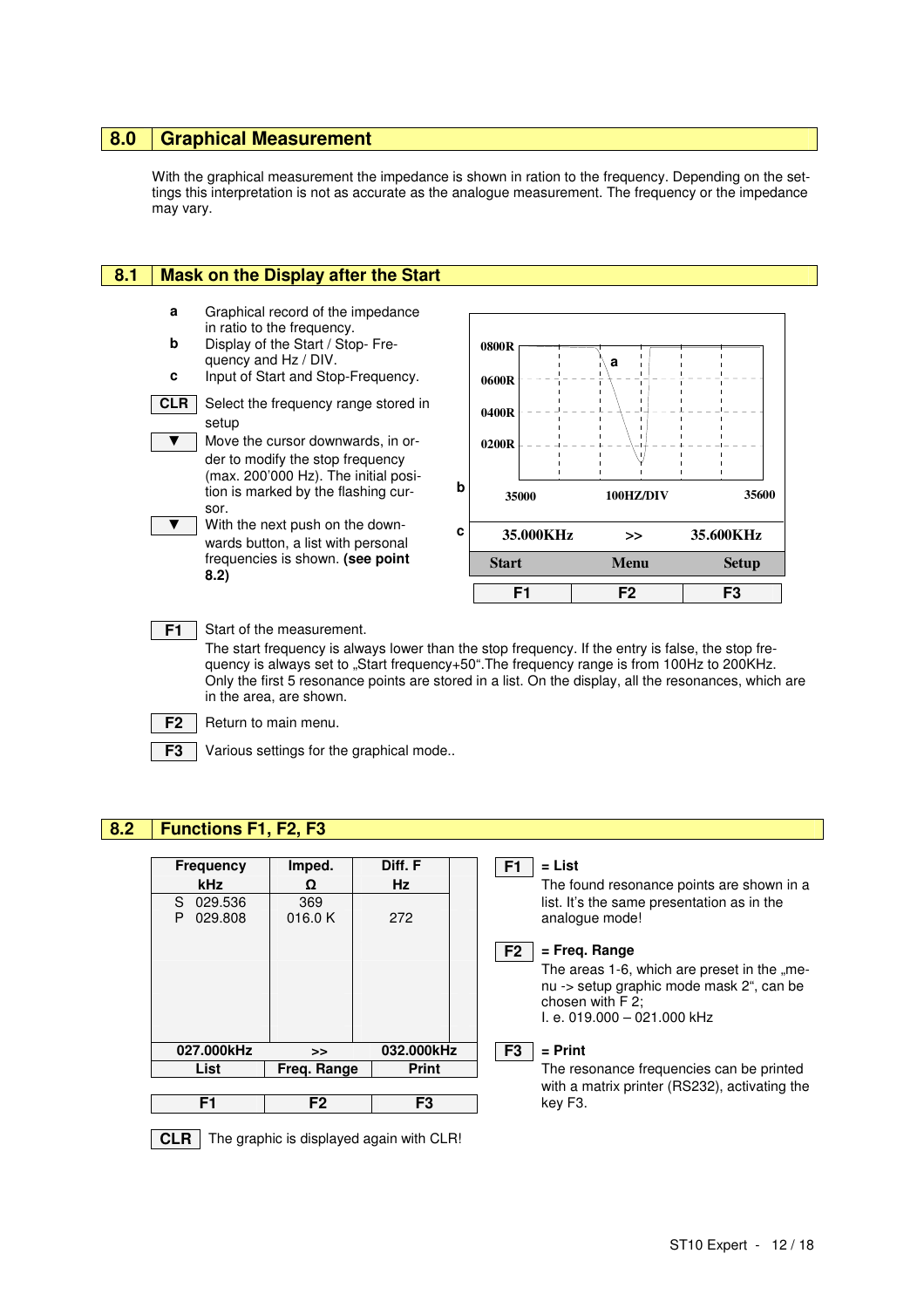## **8.0 Graphical Measurement**

With the graphical measurement the impedance is shown in ration to the frequency. Depending on the settings this interpretation is not as accurate as the analogue measurement. The frequency or the impedance may vary.

#### **8.1 Mask on the Display after the Start**

**a** Graphical record of the impedance in ratio to the frequency. **b** Display of the Start / Stop- Frequency and Hz / DIV. **c** Input of Start and Stop-Frequency. **CLR** Select the frequency range stored in setup ▼ Move the cursor downwards, in order to modify the stop frequency (max. 200'000 Hz). The initial position is marked by the flashing cursor. ▼ With the next push on the downwards button, a list with personal frequencies is shown. **(see point 8.2) F1** Start of the measurement. **b c**



The start frequency is always lower than the stop frequency. If the entry is false, the stop frequency is always set to "Start frequency+50".The frequency range is from 100Hz to 200KHz. Only the first 5 resonance points are stored in a list. On the display, all the resonances, which are in the area, are shown.

**F2** Return to main menu.

**F3** Various settings for the graphical mode..

## **8.2 Functions F1, F2, F3**

| <b>Frequency</b>              | Imped.         | Diff. F      | $=$ List<br>F1                                                                                                                             |
|-------------------------------|----------------|--------------|--------------------------------------------------------------------------------------------------------------------------------------------|
| <b>kHz</b>                    | Ω              | Hz           | The found resonance points are shown in a                                                                                                  |
| 029.536<br>S.<br>029.808<br>P | 369<br>016.0 K | 272          | list. It's the same presentation as in the<br>analogue mode!                                                                               |
|                               |                |              | $=$ Freg. Range<br>F <sub>2</sub>                                                                                                          |
|                               |                |              | The areas 1-6, which are preset in the "me-<br>nu -> setup graphic mode mask 2", can be<br>chosen with F 2;<br>l. e. 019.000 - 021.000 kHz |
| 027.000kHz                    | >              | 032.000kHz   | $=$ Print<br>F <sub>3</sub>                                                                                                                |
| List                          | Freg. Range    | <b>Print</b> | The resonance frequencies can be printed                                                                                                   |
|                               |                |              | with a matrix printer (RS232), activating the                                                                                              |
| F1                            | F <sub>2</sub> | F3           | key F3.                                                                                                                                    |
|                               |                |              |                                                                                                                                            |

 $\vert$  **CLR**  $\vert$  The graphic is displayed again with CLR!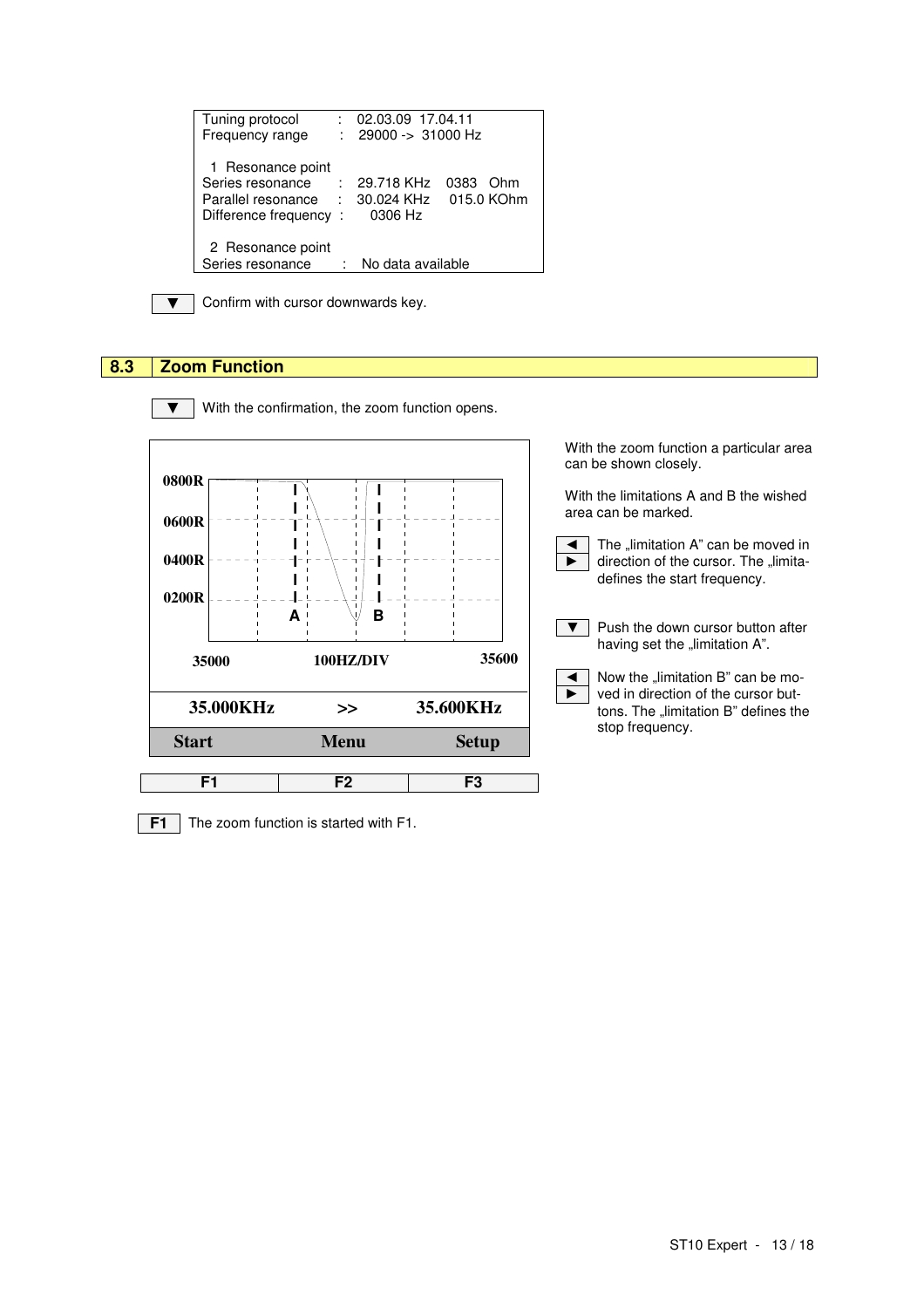| Tuning protocol<br>Frequency range                                                    | t.             | 02.03.09 17.04.11<br>29000 -> 31000 Hz |                           |
|---------------------------------------------------------------------------------------|----------------|----------------------------------------|---------------------------|
| 1 Resonance point<br>Series resonance<br>Parallel resonance :<br>Difference frequency | $\mathbb{R}^2$ | 29.718 KHz<br>30.024 KHz<br>0306 Hz    | 0383<br>Ohm<br>015.0 KOhm |
| 2 Resonance point<br>Series resonance                                                 |                | No data available                      |                           |

▼ Confirm with cursor downwards key.

## **8.3 Zoom Function**



▼ With the confirmation, the zoom function opens.

With the zoom function a particular area can be shown closely.

With the limitations A and B the wished area can be marked.

 $\triangleleft$  The "limitation A" can be moved in  $\blacktriangleright$   $\mid$  direction of the cursor. The "limitadefines the start frequency.



 $\overline{\bullet}$  Now the "limitation B" can be mo- $\blacktriangleright$  ved in direction of the cursor buttons. The "limitation B" defines the stop frequency.

**F1** The zoom function is started with F1.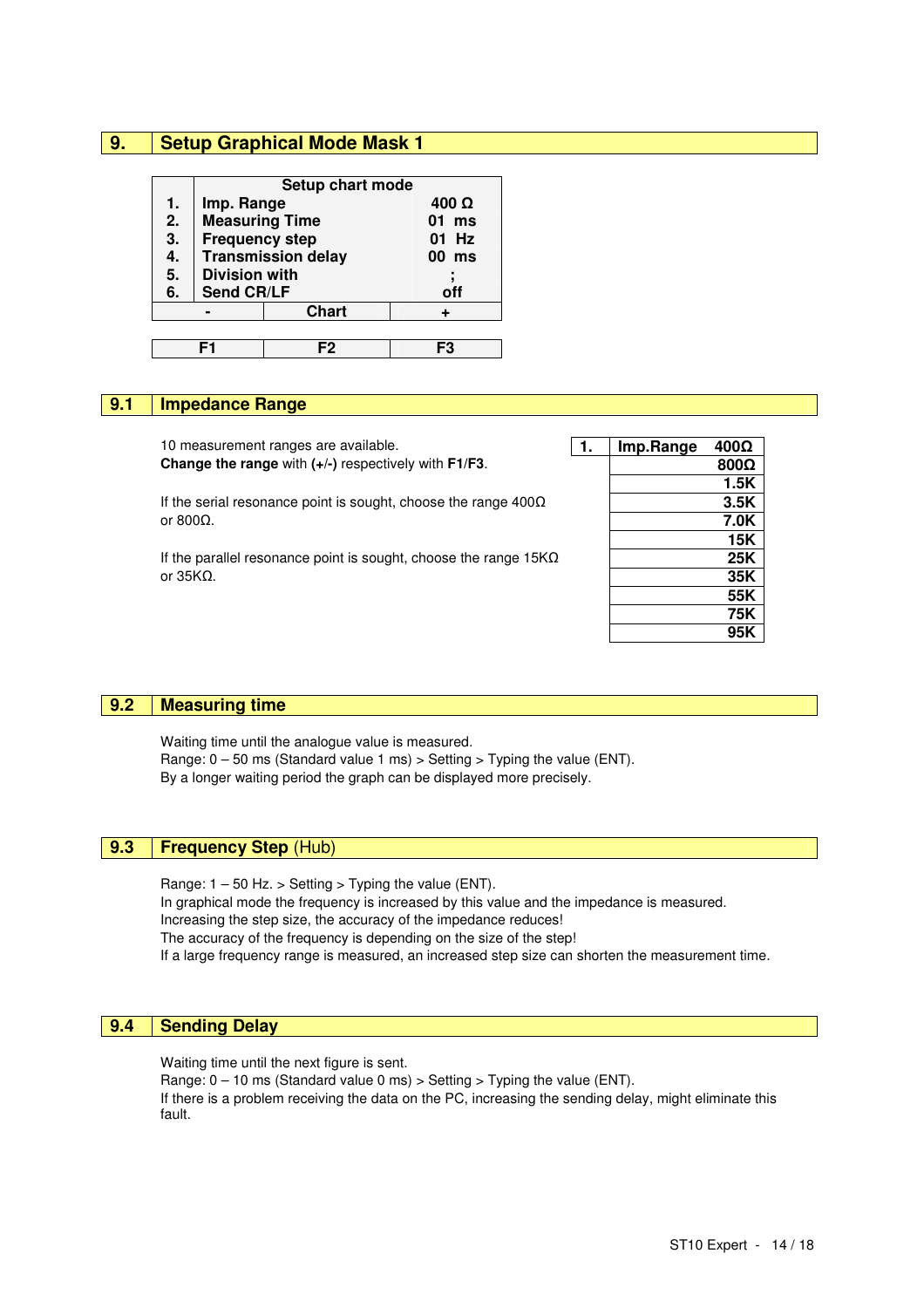### **9. Setup Graphical Mode Mask 1**

|                  | Setup chart mode      |                           |              |  |  |  |
|------------------|-----------------------|---------------------------|--------------|--|--|--|
| 1.               | Imp. Range            |                           | $400 \Omega$ |  |  |  |
| 2.               | <b>Measuring Time</b> |                           | $01$ ms      |  |  |  |
| 3.               | <b>Frequency step</b> |                           | 01 Hz        |  |  |  |
| 4.               |                       | <b>Transmission delay</b> | 00 ms        |  |  |  |
| $\overline{5}$ . | <b>Division with</b>  |                           |              |  |  |  |
| 6.               | <b>Send CR/LF</b>     |                           | off          |  |  |  |
| <b>Chart</b>     |                       |                           |              |  |  |  |
|                  |                       |                           |              |  |  |  |
|                  |                       |                           |              |  |  |  |

#### **9.1 Impedance Range**

| 10 measurement ranges are available.                                    | 1. | Imp.Range | $400\Omega$ |
|-------------------------------------------------------------------------|----|-----------|-------------|
| Change the range with (+/-) respectively with F1/F3.                    |    |           | $800\Omega$ |
|                                                                         |    |           | 1.5K        |
| If the serial resonance point is sought, choose the range $400\Omega$   |    |           | 3.5K        |
| or 800 $\Omega$ .                                                       |    |           | 7.0K        |
|                                                                         |    |           | 15K         |
| If the parallel resonance point is sought, choose the range $15K\Omega$ |    |           | 25K         |
| or $35KΩ$ .                                                             |    |           | 35K         |
|                                                                         |    |           | 55K         |
|                                                                         |    |           | 75K         |
|                                                                         |    |           | 95K         |

### **9.2 Measuring time**

Waiting time until the analogue value is measured. Range:  $0 - 50$  ms (Standard value 1 ms) > Setting > Typing the value (ENT). By a longer waiting period the graph can be displayed more precisely.

## **9.3 Frequency Step** (Hub)

Range:  $1 - 50$  Hz. > Setting > Typing the value (ENT). In graphical mode the frequency is increased by this value and the impedance is measured. Increasing the step size, the accuracy of the impedance reduces! The accuracy of the frequency is depending on the size of the step! If a large frequency range is measured, an increased step size can shorten the measurement time.

### **9.4 Sending Delay**

Waiting time until the next figure is sent.

Range:  $0 - 10$  ms (Standard value 0 ms) > Setting > Typing the value (ENT). If there is a problem receiving the data on the PC, increasing the sending delay, might eliminate this fault.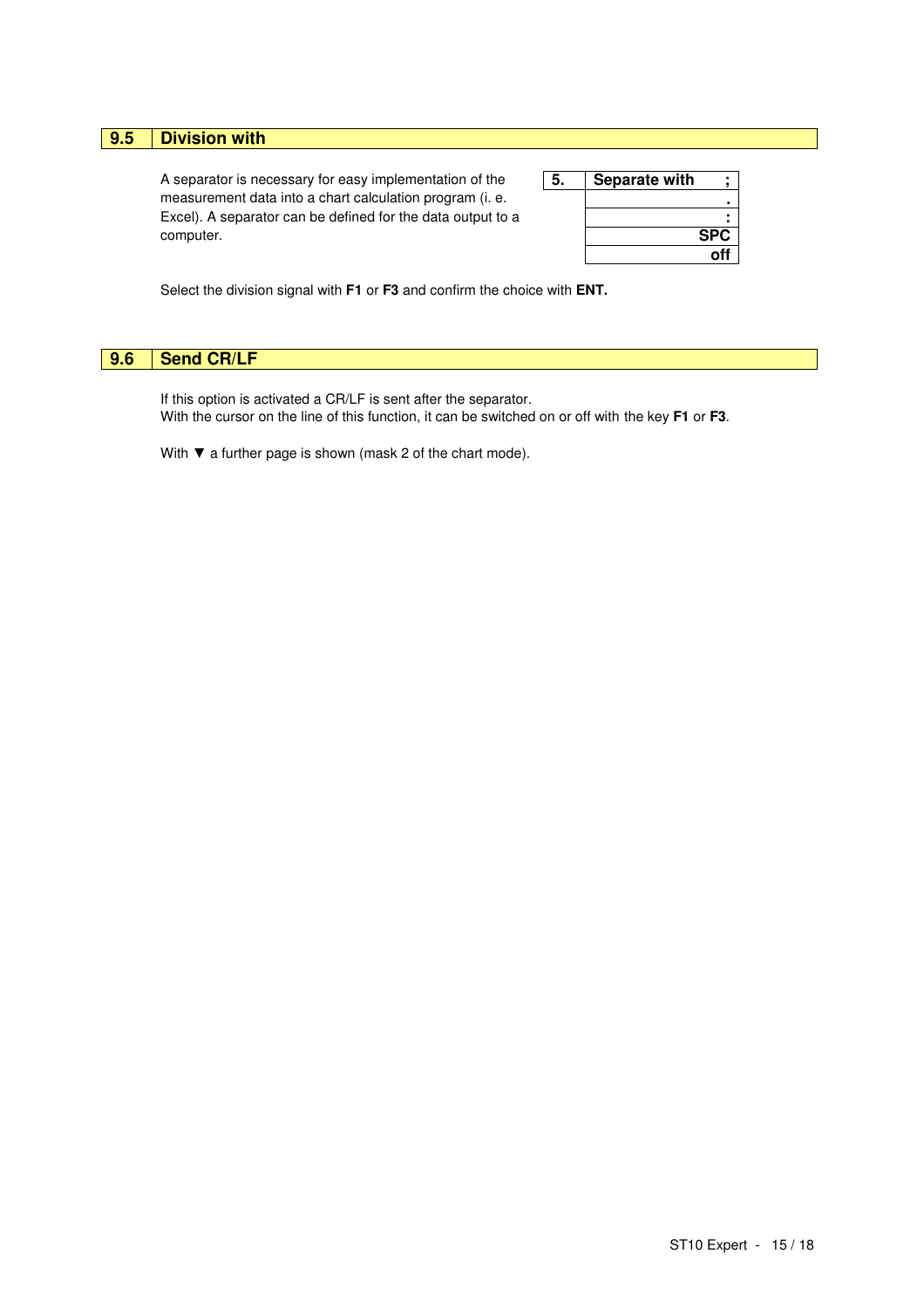## **9.5 Division with**

A separator is necessary for easy implementation of the **5. Separate with separate with**  $\mathbf{\cdot}$ measurement data into a chart calculation program (i. e. **.** Excel). A separator can be defined for the data output to a **:** computer. **SPC**

| Separate with |            |
|---------------|------------|
|               |            |
|               |            |
|               | <b>SPC</b> |
|               | off        |

Select the division signal with **F1** or **F3** and confirm the choice with **ENT.**

### **9.6 Send CR/LF**

If this option is activated a CR/LF is sent after the separator. With the cursor on the line of this function, it can be switched on or off with the key **F1** or **F3**.

With ▼ a further page is shown (mask 2 of the chart mode).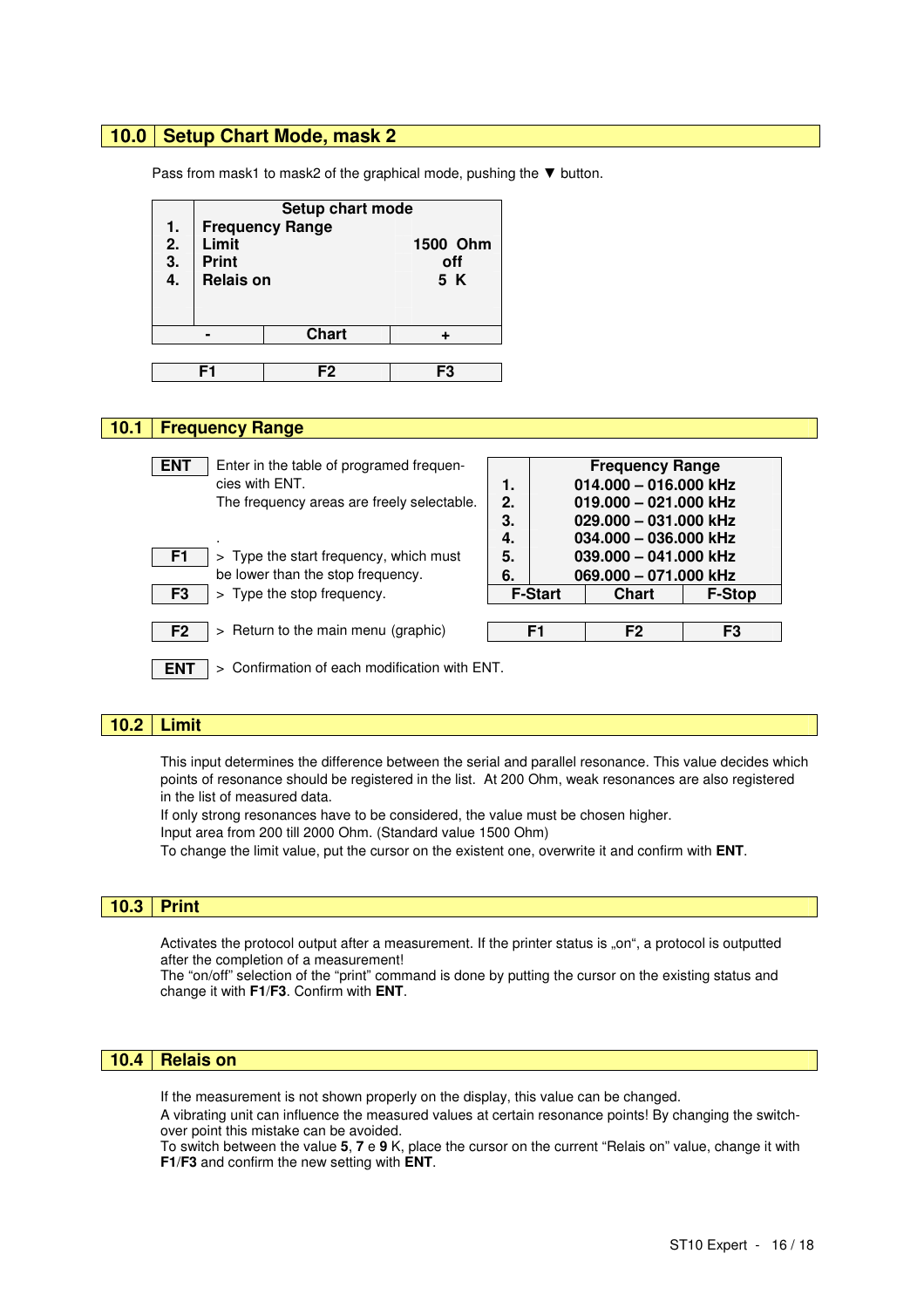### **10.0 Setup Chart Mode, mask 2**

Pass from mask1 to mask2 of the graphical mode, pushing the ▼ button.

| 1.<br>2.<br>$\frac{3}{4}$ . | Limit<br><b>Print</b><br><b>Relais on</b> | Setup chart mode<br><b>Frequency Range</b> | 1500 Ohm<br>off<br>5 K |  |  |
|-----------------------------|-------------------------------------------|--------------------------------------------|------------------------|--|--|
|                             |                                           | <b>Chart</b>                               |                        |  |  |
|                             |                                           |                                            |                        |  |  |
|                             | F1                                        | F2                                         | F3                     |  |  |
|                             |                                           |                                            |                        |  |  |

#### **10.1 Frequency Range**

| Enter in the table of programed frequen-<br><b>ENT</b><br>cies with ENT.<br>The frequency areas are freely selectable.<br>> Type the start frequency, which must<br>F <sub>1</sub> | 1.<br>2.<br>3.<br>4.<br>5. | <b>Frequency Range</b><br>$014.000 - 016.000$ kHz<br>$019.000 - 021.000$ kHz<br>$029.000 - 031.000$ kHz<br>$034.000 - 036.000$ kHz<br>039.000 - 041.000 kHz |                                       |                |
|------------------------------------------------------------------------------------------------------------------------------------------------------------------------------------|----------------------------|-------------------------------------------------------------------------------------------------------------------------------------------------------------|---------------------------------------|----------------|
| be lower than the stop frequency.<br>> Type the stop frequency.<br>F <sub>3</sub>                                                                                                  | 6.                         | <b>F-Start</b>                                                                                                                                              | 069.000 - 071.000 kHz<br><b>Chart</b> | <b>F-Stop</b>  |
| F <sub>2</sub><br>> Return to the main menu (graphic)                                                                                                                              |                            | F1                                                                                                                                                          | F <sub>2</sub>                        | F <sub>3</sub> |
| > Confirmation of each modification with ENT.<br><b>EN1</b>                                                                                                                        |                            |                                                                                                                                                             |                                       |                |

#### **10.2 Limit**

This input determines the difference between the serial and parallel resonance. This value decides which points of resonance should be registered in the list. At 200 Ohm, weak resonances are also registered in the list of measured data.

If only strong resonances have to be considered, the value must be chosen higher.

Input area from 200 till 2000 Ohm. (Standard value 1500 Ohm)

To change the limit value, put the cursor on the existent one, overwrite it and confirm with **ENT**.

#### L **10.3 Print**

Activates the protocol output after a measurement. If the printer status is "on", a protocol is outputted after the completion of a measurement!

The "on/off" selection of the "print" command is done by putting the cursor on the existing status and change it with **F1**/**F3**. Confirm with **ENT**.

#### **10.4 Relais on**

If the measurement is not shown properly on the display, this value can be changed.

A vibrating unit can influence the measured values at certain resonance points! By changing the switchover point this mistake can be avoided.

To switch between the value **5**, **7** e **9** K, place the cursor on the current "Relais on" value, change it with **F1**/**F3** and confirm the new setting with **ENT**.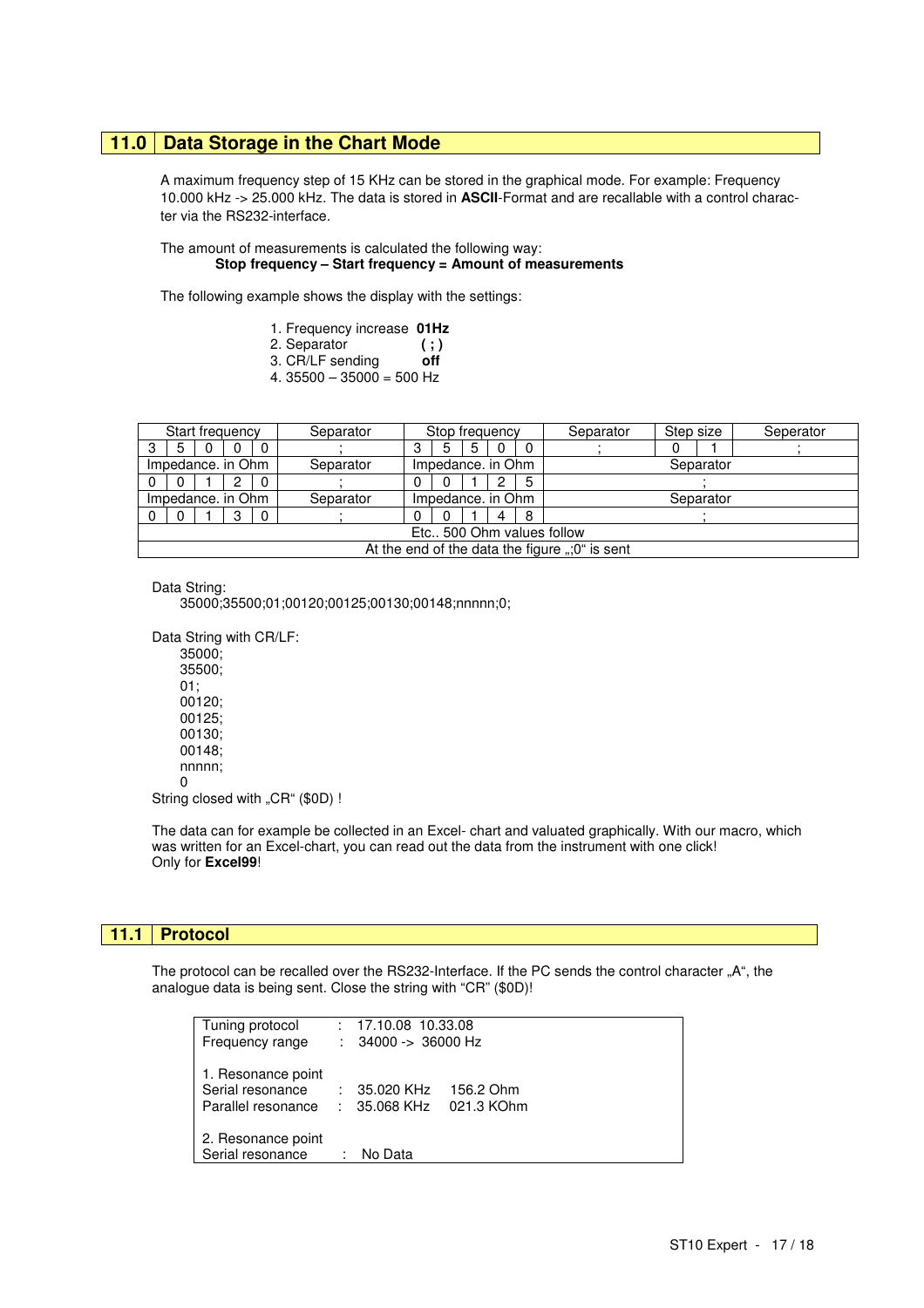#### **11.0 Data Storage in the Chart Mode**

A maximum frequency step of 15 KHz can be stored in the graphical mode. For example: Frequency 10.000 kHz -> 25.000 kHz. The data is stored in **ASCII**-Format and are recallable with a control charac ter via the RS232-interface.

#### The amount of measurements is calculated the following way: **Stop frequency – Start frequency = Amount of measurements**

The following example shows the display with the settings:

| 1. Frequency increase 01Hz |  |
|----------------------------|--|
|----------------------------|--|

- 2. Separator **( ; )**
- 3. CR/LF sending **off**
- 4.  $35500 35000 = 500$  Hz

| Start frequency                                |   |  |   |  | Separator | Stop frequency    |          |   |   |           | Separator | Step size |  | Seperator |
|------------------------------------------------|---|--|---|--|-----------|-------------------|----------|---|---|-----------|-----------|-----------|--|-----------|
|                                                | 5 |  |   |  |           |                   | 5        | 5 | 0 | 0         |           |           |  |           |
| Impedance, in Ohm                              |   |  |   |  | Separator | Impedance. in Ohm |          |   |   |           | Separator |           |  |           |
|                                                |   |  |   |  |           |                   |          |   |   | 5         |           |           |  |           |
| Impedance, in Ohm                              |   |  |   |  | Separator | Impedance. in Ohm |          |   |   | Separator |           |           |  |           |
|                                                |   |  | з |  |           |                   | $^{(1)}$ |   | 4 | 8         |           |           |  |           |
| Etc., 500 Ohm values follow                    |   |  |   |  |           |                   |          |   |   |           |           |           |  |           |
| At the end of the data the figure ";0" is sent |   |  |   |  |           |                   |          |   |   |           |           |           |  |           |

Data String:

35000;35500;01;00120;00125;00130;00148;nnnnn;0;

Data String with CR/LF:

35000; 35500; 01; 00120; 00125; 00130; 00148; nnnn;  $\Omega$ 

String closed with "CR" (\$0D) !

The data can for example be collected in an Excel- chart and valuated graphically. With our macro, which was written for an Excel-chart, you can read out the data from the instrument with one click! Only for **Excel99**!

#### **11.1 Protocol**

The protocol can be recalled over the RS232-Interface. If the PC sends the control character "A", the analogue data is being sent. Close the string with "CR" (\$0D)!

| Tuning protocol<br>Frequency range                           |   | $: 17.10.08$ 10.33.08<br>$: 34000 \rightarrow 36000 \text{ Hz}$ |           |  |
|--------------------------------------------------------------|---|-----------------------------------------------------------------|-----------|--|
| 1. Resonance point<br>Serial resonance<br>Parallel resonance |   | $: 35.020 \text{ KHz}$<br>$: 35.068 \text{ KHz}$ 021.3 KOhm     | 156.2 Ohm |  |
| 2. Resonance point<br>Serial resonance                       | t | No Data                                                         |           |  |